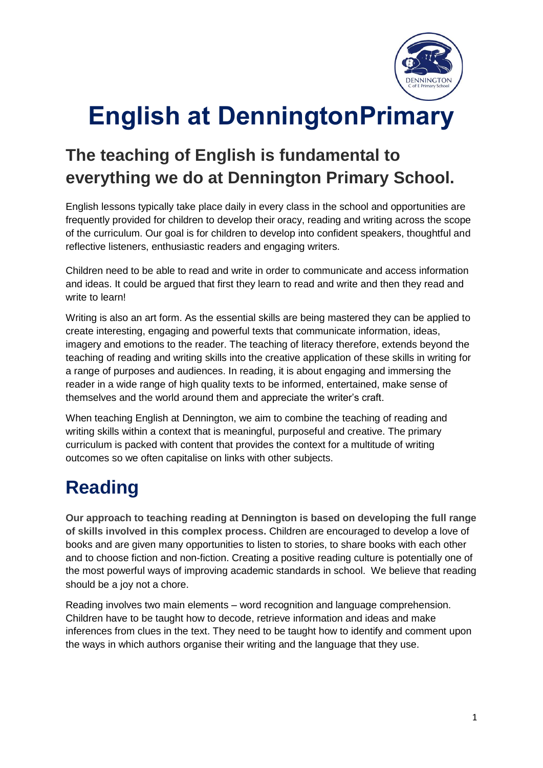

# **English at DenningtonPrimary**

## **The teaching of English is fundamental to everything we do at Dennington Primary School.**

English lessons typically take place daily in every class in the school and opportunities are frequently provided for children to develop their oracy, reading and writing across the scope of the curriculum. Our goal is for children to develop into confident speakers, thoughtful and reflective listeners, enthusiastic readers and engaging writers.

Children need to be able to read and write in order to communicate and access information and ideas. It could be argued that first they learn to read and write and then they read and write to learn!

Writing is also an art form. As the essential skills are being mastered they can be applied to create interesting, engaging and powerful texts that communicate information, ideas, imagery and emotions to the reader. The teaching of literacy therefore, extends beyond the teaching of reading and writing skills into the creative application of these skills in writing for a range of purposes and audiences. In reading, it is about engaging and immersing the reader in a wide range of high quality texts to be informed, entertained, make sense of themselves and the world around them and appreciate the writer's craft.

When teaching English at Dennington, we aim to combine the teaching of reading and writing skills within a context that is meaningful, purposeful and creative. The primary curriculum is packed with content that provides the context for a multitude of writing outcomes so we often capitalise on links with other subjects.

# **Reading**

**Our approach to teaching reading at Dennington is based on developing the full range of skills involved in this complex process.** Children are encouraged to develop a love of books and are given many opportunities to listen to stories, to share books with each other and to choose fiction and non-fiction. Creating a positive reading culture is potentially one of the most powerful ways of improving academic standards in school. We believe that reading should be a joy not a chore.

Reading involves two main elements – word recognition and language comprehension. Children have to be taught how to decode, retrieve information and ideas and make inferences from clues in the text. They need to be taught how to identify and comment upon the ways in which authors organise their writing and the language that they use.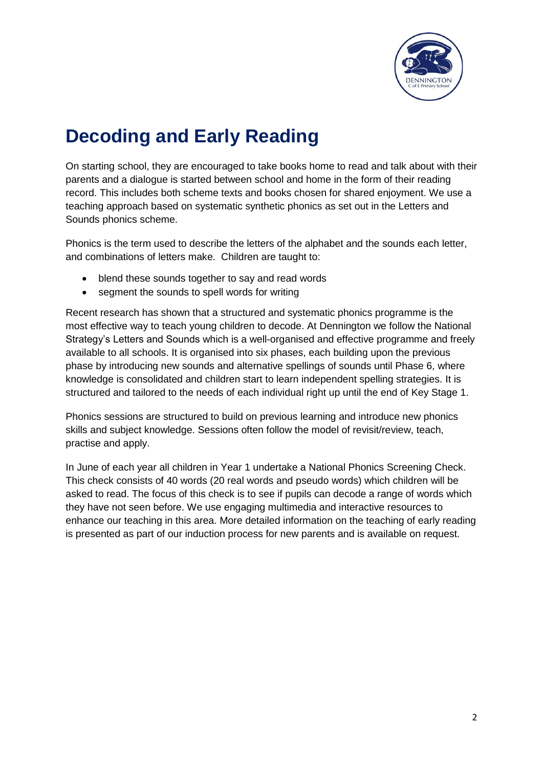

# **Decoding and Early Reading**

On starting school, they are encouraged to take books home to read and talk about with their parents and a dialogue is started between school and home in the form of their reading record. This includes both scheme texts and books chosen for shared enjoyment. We use a teaching approach based on systematic synthetic phonics as set out in the Letters and Sounds phonics scheme.

Phonics is the term used to describe the letters of the alphabet and the sounds each letter, and combinations of letters make. Children are taught to:

- blend these sounds together to say and read words
- segment the sounds to spell words for writing

Recent research has shown that a structured and systematic phonics programme is the most effective way to teach young children to decode. At Dennington we follow the National Strategy's Letters and Sounds which is a well-organised and effective programme and freely available to all schools. It is organised into six phases, each building upon the previous phase by introducing new sounds and alternative spellings of sounds until Phase 6, where knowledge is consolidated and children start to learn independent spelling strategies. It is structured and tailored to the needs of each individual right up until the end of Key Stage 1.

Phonics sessions are structured to build on previous learning and introduce new phonics skills and subject knowledge. Sessions often follow the model of revisit/review, teach, practise and apply.

In June of each year all children in Year 1 undertake a National Phonics Screening Check. This check consists of 40 words (20 real words and pseudo words) which children will be asked to read. The focus of this check is to see if pupils can decode a range of words which they have not seen before. We use engaging multimedia and interactive resources to enhance our teaching in this area. More detailed information on the teaching of early reading is presented as part of our induction process for new parents and is available on request.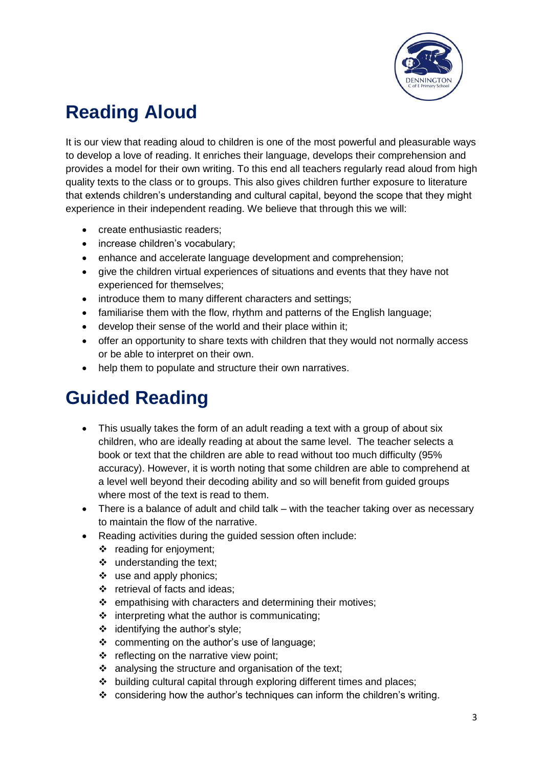

# **Reading Aloud**

It is our view that reading aloud to children is one of the most powerful and pleasurable ways to develop a love of reading. It enriches their language, develops their comprehension and provides a model for their own writing. To this end all teachers regularly read aloud from high quality texts to the class or to groups. This also gives children further exposure to literature that extends children's understanding and cultural capital, beyond the scope that they might experience in their independent reading. We believe that through this we will:

- create enthusiastic readers:
- increase children's vocabulary;
- enhance and accelerate language development and comprehension;
- give the children virtual experiences of situations and events that they have not experienced for themselves;
- introduce them to many different characters and settings;
- familiarise them with the flow, rhythm and patterns of the English language;
- develop their sense of the world and their place within it;
- offer an opportunity to share texts with children that they would not normally access or be able to interpret on their own.
- help them to populate and structure their own narratives.

# **Guided Reading**

- This usually takes the form of an adult reading a text with a group of about six children, who are ideally reading at about the same level. The teacher selects a book or text that the children are able to read without too much difficulty (95% accuracy). However, it is worth noting that some children are able to comprehend at a level well beyond their decoding ability and so will benefit from guided groups where most of the text is read to them.
- There is a balance of adult and child talk with the teacher taking over as necessary to maintain the flow of the narrative.
- Reading activities during the guided session often include:
	- $\div$  reading for enjoyment;
	- understanding the text;
	- $\div$  use and apply phonics;
	- $\div$  retrieval of facts and ideas;
	- $\div$  empathising with characters and determining their motives;
	- $\div$  interpreting what the author is communicating;
	- $\div$  identifying the author's style;
	- ❖ commenting on the author's use of language;
	- $\div$  reflecting on the narrative view point;
	- $\div$  analysing the structure and organisation of the text;
	- building cultural capital through exploring different times and places;
	- considering how the author's techniques can inform the children's writing.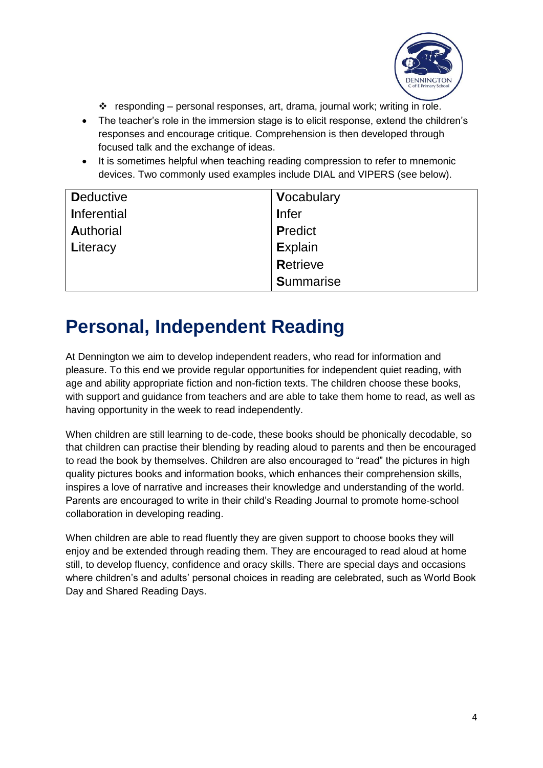

- $\cdot \cdot$  responding personal responses, art, drama, journal work; writing in role.
- The teacher's role in the immersion stage is to elicit response, extend the children's responses and encourage critique. Comprehension is then developed through focused talk and the exchange of ideas.
- It is sometimes helpful when teaching reading compression to refer to mnemonic devices. Two commonly used examples include DIAL and VIPERS (see below).

| <b>Deductive</b>   | Vocabulary       |
|--------------------|------------------|
| <b>Inferential</b> | <b>I</b> nfer    |
| <b>Authorial</b>   | <b>Predict</b>   |
| Literacy           | <b>Explain</b>   |
|                    | <b>Retrieve</b>  |
|                    | <b>Summarise</b> |

# **Personal, Independent Reading**

At Dennington we aim to develop independent readers, who read for information and pleasure. To this end we provide regular opportunities for independent quiet reading, with age and ability appropriate fiction and non-fiction texts. The children choose these books, with support and guidance from teachers and are able to take them home to read, as well as having opportunity in the week to read independently.

When children are still learning to de-code, these books should be phonically decodable, so that children can practise their blending by reading aloud to parents and then be encouraged to read the book by themselves. Children are also encouraged to "read" the pictures in high quality pictures books and information books, which enhances their comprehension skills, inspires a love of narrative and increases their knowledge and understanding of the world. Parents are encouraged to write in their child's Reading Journal to promote home-school collaboration in developing reading.

When children are able to read fluently they are given support to choose books they will enjoy and be extended through reading them. They are encouraged to read aloud at home still, to develop fluency, confidence and oracy skills. There are special days and occasions where children's and adults' personal choices in reading are celebrated, such as World Book Day and Shared Reading Days.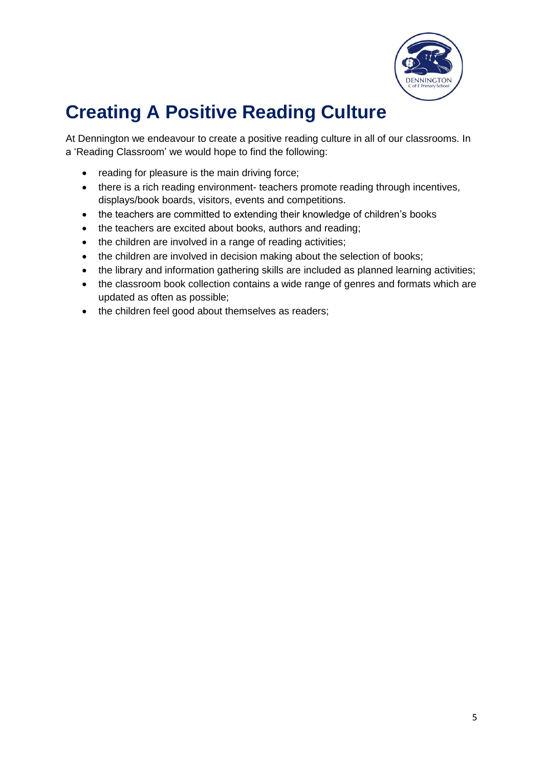

# **Creating A Positive Reading Culture**

At Dennington we endeavour to create a positive reading culture in all of our classrooms. In a 'Reading Classroom' we would hope to find the following:

- reading for pleasure is the main driving force;
- there is a rich reading environment- teachers promote reading through incentives, displays/book boards, visitors, events and competitions.
- the teachers are committed to extending their knowledge of children's books
- the teachers are excited about books, authors and reading;
- the children are involved in a range of reading activities;
- the children are involved in decision making about the selection of books;
- the library and information gathering skills are included as planned learning activities;
- the classroom book collection contains a wide range of genres and formats which are updated as often as possible;
- the children feel good about themselves as readers;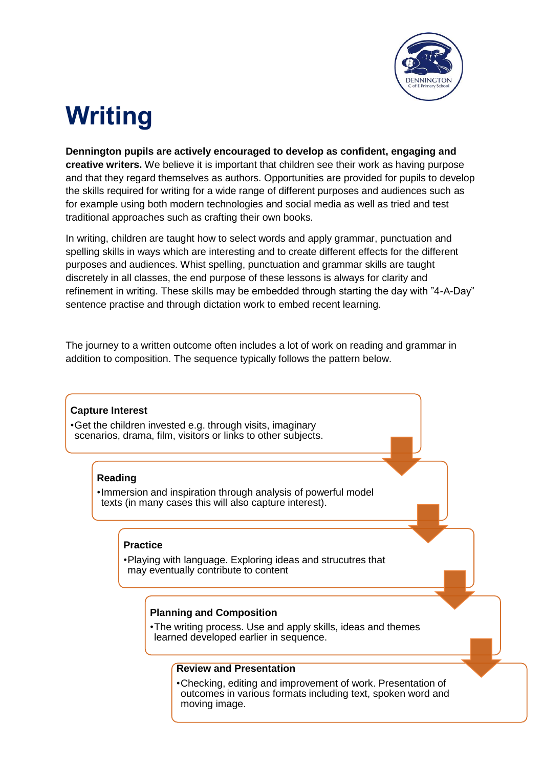

# **Writing**

**Dennington pupils are actively encouraged to develop as confident, engaging and creative writers.** We believe it is important that children see their work as having purpose and that they regard themselves as authors. Opportunities are provided for pupils to develop the skills required for writing for a wide range of different purposes and audiences such as for example using both modern technologies and social media as well as tried and test traditional approaches such as crafting their own books.

In writing, children are taught how to select words and apply grammar, punctuation and spelling skills in ways which are interesting and to create different effects for the different purposes and audiences. Whist spelling, punctuation and grammar skills are taught discretely in all classes, the end purpose of these lessons is always for clarity and refinement in writing. These skills may be embedded through starting the day with "4-A-Day" sentence practise and through dictation work to embed recent learning.

The journey to a written outcome often includes a lot of work on reading and grammar in addition to composition. The sequence typically follows the pattern below.

### **Capture Interest**

•Get the children invested e.g. through visits, imaginary scenarios, drama, film, visitors or links to other subjects.

### **Reading**

•Immersion and inspiration through analysis of powerful model texts (in many cases this will also capture interest).

#### **Practice**

•Playing with language. Exploring ideas and strucutres that may eventually contribute to content

#### **Planning and Composition**

•The writing process. Use and apply skills, ideas and themes learned developed earlier in sequence.

#### **Review and Presentation**

•Checking, editing and improvement of work. Presentation of outcomes in various formats including text, spoken word and moving image.

6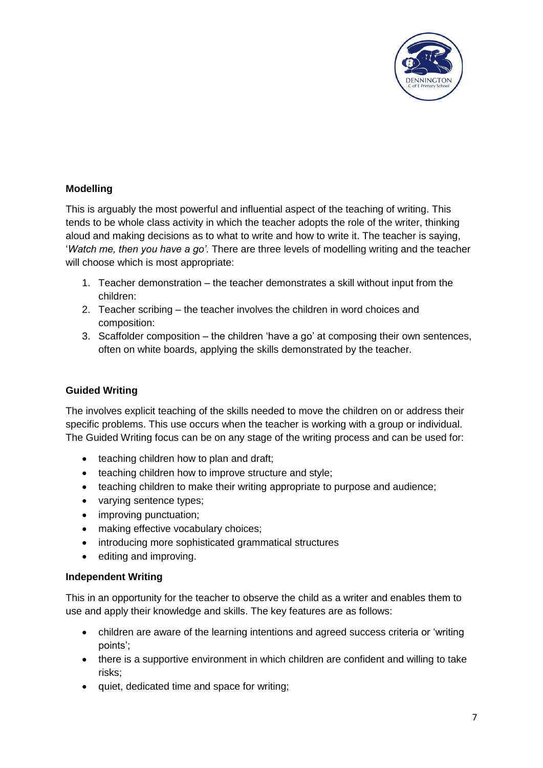

### **Modelling**

This is arguably the most powerful and influential aspect of the teaching of writing. This tends to be whole class activity in which the teacher adopts the role of the writer, thinking aloud and making decisions as to what to write and how to write it. The teacher is saying, '*Watch me, then you have a go'*. There are three levels of modelling writing and the teacher will choose which is most appropriate:

- 1. Teacher demonstration the teacher demonstrates a skill without input from the children:
- 2. Teacher scribing the teacher involves the children in word choices and composition:
- 3. Scaffolder composition the children 'have a go' at composing their own sentences, often on white boards, applying the skills demonstrated by the teacher.

### **Guided Writing**

The involves explicit teaching of the skills needed to move the children on or address their specific problems. This use occurs when the teacher is working with a group or individual. The Guided Writing focus can be on any stage of the writing process and can be used for:

- teaching children how to plan and draft;
- teaching children how to improve structure and style;
- teaching children to make their writing appropriate to purpose and audience;
- varying sentence types;
- improving punctuation;
- making effective vocabulary choices;
- introducing more sophisticated grammatical structures
- editing and improving.

#### **Independent Writing**

This in an opportunity for the teacher to observe the child as a writer and enables them to use and apply their knowledge and skills. The key features are as follows:

- children are aware of the learning intentions and agreed success criteria or 'writing points';
- there is a supportive environment in which children are confident and willing to take risks;
- quiet, dedicated time and space for writing;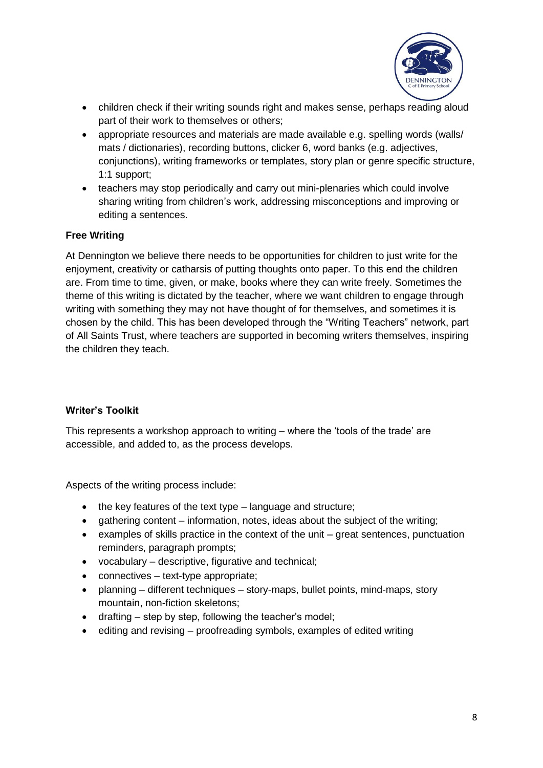

- children check if their writing sounds right and makes sense, perhaps reading aloud part of their work to themselves or others;
- appropriate resources and materials are made available e.g. spelling words (walls/ mats / dictionaries), recording buttons, clicker 6, word banks (e.g. adjectives, conjunctions), writing frameworks or templates, story plan or genre specific structure, 1:1 support;
- teachers may stop periodically and carry out mini-plenaries which could involve sharing writing from children's work, addressing misconceptions and improving or editing a sentences.

### **Free Writing**

At Dennington we believe there needs to be opportunities for children to just write for the enjoyment, creativity or catharsis of putting thoughts onto paper. To this end the children are. From time to time, given, or make, books where they can write freely. Sometimes the theme of this writing is dictated by the teacher, where we want children to engage through writing with something they may not have thought of for themselves, and sometimes it is chosen by the child. This has been developed through the "Writing Teachers" network, part of All Saints Trust, where teachers are supported in becoming writers themselves, inspiring the children they teach.

#### **Writer's Toolkit**

This represents a workshop approach to writing – where the 'tools of the trade' are accessible, and added to, as the process develops.

Aspects of the writing process include:

- $\bullet$  the key features of the text type language and structure;
- gathering content information, notes, ideas about the subject of the writing;
- $\bullet$  examples of skills practice in the context of the unit great sentences, punctuation reminders, paragraph prompts;
- vocabulary descriptive, figurative and technical;
- connectives text-type appropriate;
- planning different techniques story-maps, bullet points, mind-maps, story mountain, non-fiction skeletons;
- drafting step by step, following the teacher's model;
- editing and revising proofreading symbols, examples of edited writing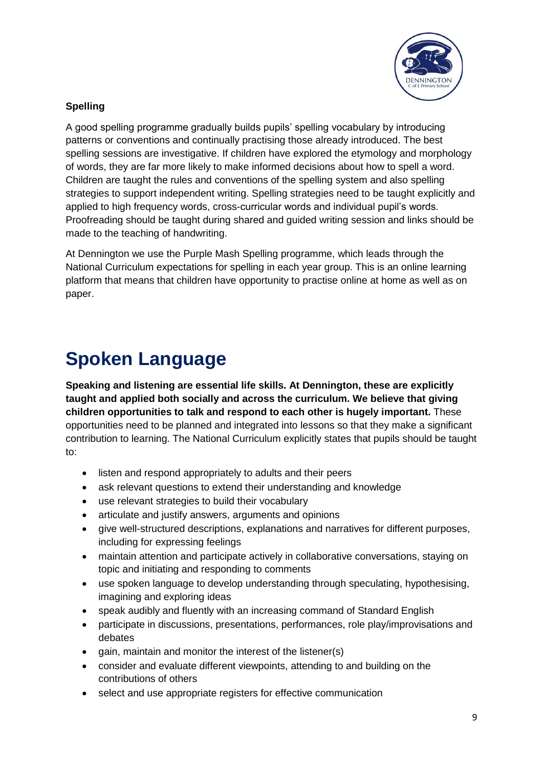

#### J **Spelling**

A good spelling programme gradually builds pupils' spelling vocabulary by introducing patterns or conventions and continually practising those already introduced. The best spelling sessions are investigative. If children have explored the etymology and morphology of words, they are far more likely to make informed decisions about how to spell a word. Children are taught the rules and conventions of the spelling system and also spelling strategies to support independent writing. Spelling strategies need to be taught explicitly and applied to high frequency words, cross-curricular words and individual pupil's words. Proofreading should be taught during shared and guided writing session and links should be made to the teaching of handwriting.

At Dennington we use the Purple Mash Spelling programme, which leads through the National Curriculum expectations for spelling in each year group. This is an online learning platform that means that children have opportunity to practise online at home as well as on paper.

# **Spoken Language**

**Speaking and listening are essential life skills. At Dennington, these are explicitly taught and applied both socially and across the curriculum. We believe that giving children opportunities to talk and respond to each other is hugely important.** These opportunities need to be planned and integrated into lessons so that they make a significant contribution to learning. The National Curriculum explicitly states that pupils should be taught to:

- listen and respond appropriately to adults and their peers
- ask relevant questions to extend their understanding and knowledge
- use relevant strategies to build their vocabulary
- articulate and justify answers, arguments and opinions
- give well-structured descriptions, explanations and narratives for different purposes, including for expressing feelings
- maintain attention and participate actively in collaborative conversations, staying on topic and initiating and responding to comments
- use spoken language to develop understanding through speculating, hypothesising, imagining and exploring ideas
- speak audibly and fluently with an increasing command of Standard English
- participate in discussions, presentations, performances, role play/improvisations and debates
- gain, maintain and monitor the interest of the listener(s)
- consider and evaluate different viewpoints, attending to and building on the contributions of others
- select and use appropriate registers for effective communication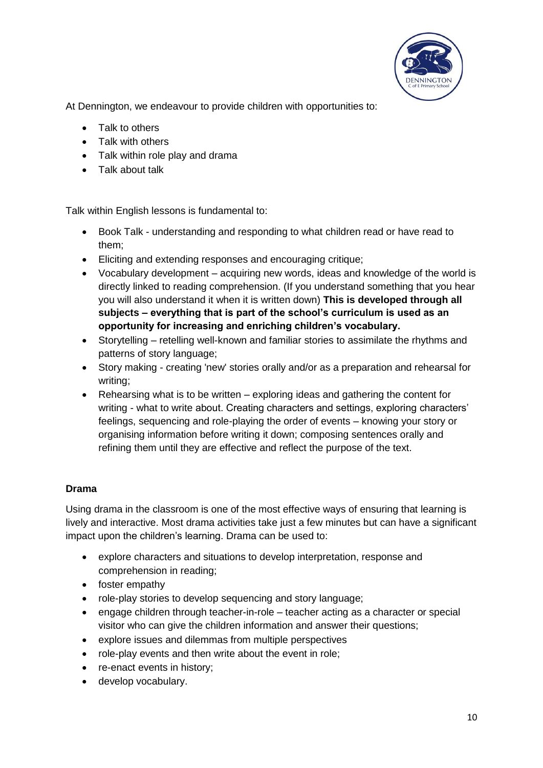

At Dennington, we endeavour to provide children with opportunities to:

- Talk to others
- Talk with others
- Talk within role play and drama
- Talk about talk

Talk within English lessons is fundamental to:

- Book Talk understanding and responding to what children read or have read to them;
- Eliciting and extending responses and encouraging critique;
- Vocabulary development acquiring new words, ideas and knowledge of the world is directly linked to reading comprehension. (If you understand something that you hear you will also understand it when it is written down) **This is developed through all subjects – everything that is part of the school's curriculum is used as an opportunity for increasing and enriching children's vocabulary.**
- Storytelling retelling well-known and familiar stories to assimilate the rhythms and patterns of story language;
- Story making creating 'new' stories orally and/or as a preparation and rehearsal for writing;
- Rehearsing what is to be written exploring ideas and gathering the content for writing - what to write about. Creating characters and settings, exploring characters' feelings, sequencing and role-playing the order of events – knowing your story or organising information before writing it down; composing sentences orally and refining them until they are effective and reflect the purpose of the text.

### **Drama**

Using drama in the classroom is one of the most effective ways of ensuring that learning is lively and interactive. Most drama activities take just a few minutes but can have a significant impact upon the children's learning. Drama can be used to:

- explore characters and situations to develop interpretation, response and comprehension in reading;
- foster empathy
- role-play stories to develop sequencing and story language;
- engage children through teacher-in-role teacher acting as a character or special visitor who can give the children information and answer their questions;
- explore issues and dilemmas from multiple perspectives
- role-play events and then write about the event in role;
- re-enact events in history;
- develop vocabulary.